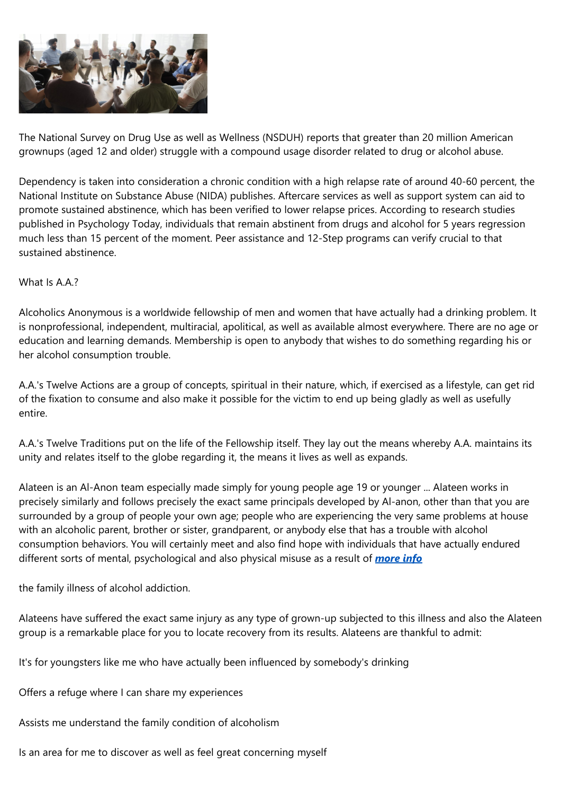

The National Survey on Drug Use as well as Wellness (NSDUH) reports that greater than 20 million American grownups (aged 12 and older) struggle with a compound usage disorder related to drug or alcohol abuse.

Dependency is taken into consideration a chronic condition with a high relapse rate of around 40-60 percent, the National Institute on Substance Abuse (NIDA) publishes. Aftercare services as well as support system can aid to promote sustained abstinence, which has been verified to lower relapse prices. According to research studies published in Psychology Today, individuals that remain abstinent from drugs and alcohol for 5 years regression much less than 15 percent of the moment. Peer assistance and 12-Step programs can verify crucial to that sustained abstinence.

### What Is A.A.?

Alcoholics Anonymous is a worldwide fellowship of men and women that have actually had a drinking problem. It is nonprofessional, independent, multiracial, apolitical, as well as available almost everywhere. There are no age or education and learning demands. Membership is open to anybody that wishes to do something regarding his or her alcohol consumption trouble.

A.A.'s Twelve Actions are a group of concepts, spiritual in their nature, which, if exercised as a lifestyle, can get rid of the fixation to consume and also make it possible for the victim to end up being gladly as well as usefully entire.

A.A.'s Twelve Traditions put on the life of the Fellowship itself. They lay out the means whereby A.A. maintains its unity and relates itself to the globe regarding it, the means it lives as well as expands.

Alateen is an Al-Anon team especially made simply for young people age 19 or younger ... Alateen works in precisely similarly and follows precisely the exact same principals developed by Al-anon, other than that you are surrounded by a group of people your own age; people who are experiencing the very same problems at house with an alcoholic parent, brother or sister, grandparent, or anybody else that has a trouble with alcohol consumption behaviors. You will certainly meet and also find hope with individuals that have actually endured different sorts of mental, psychological and also physical misuse as a result of *[more](https://www.springboardrecovery.com/meeting/avon-lake-oh-smart-recovery-meetings/) info*

the family illness of alcohol addiction.

Alateens have suffered the exact same injury as any type of grown-up subjected to this illness and also the Alateen group is a remarkable place for you to locate recovery from its results. Alateens are thankful to admit:

It's for youngsters like me who have actually been influenced by somebody's drinking

Offers a refuge where I can share my experiences

Assists me understand the family condition of alcoholism

Is an area for me to discover as well as feel great concerning myself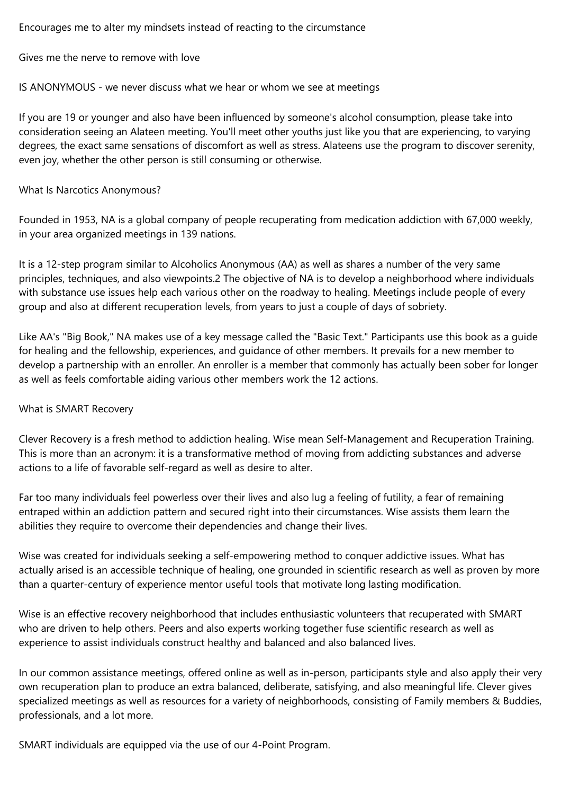Encourages me to alter my mindsets instead of reacting to the circumstance

Gives me the nerve to remove with love

IS ANONYMOUS - we never discuss what we hear or whom we see at meetings

If you are 19 or younger and also have been influenced by someone's alcohol consumption, please take into consideration seeing an Alateen meeting. You'll meet other youths just like you that are experiencing, to varying degrees, the exact same sensations of discomfort as well as stress. Alateens use the program to discover serenity, even joy, whether the other person is still consuming or otherwise.

#### What Is Narcotics Anonymous?

Founded in 1953, NA is a global company of people recuperating from medication addiction with 67,000 weekly, in your area organized meetings in 139 nations.

It is a 12-step program similar to Alcoholics Anonymous (AA) as well as shares a number of the very same principles, techniques, and also viewpoints.2 The objective of NA is to develop a neighborhood where individuals with substance use issues help each various other on the roadway to healing. Meetings include people of every group and also at different recuperation levels, from years to just a couple of days of sobriety.

Like AA's "Big Book," NA makes use of a key message called the "Basic Text." Participants use this book as a guide for healing and the fellowship, experiences, and guidance of other members. It prevails for a new member to develop a partnership with an enroller. An enroller is a member that commonly has actually been sober for longer as well as feels comfortable aiding various other members work the 12 actions.

# What is SMART Recovery

Clever Recovery is a fresh method to addiction healing. Wise mean Self-Management and Recuperation Training. This is more than an acronym: it is a transformative method of moving from addicting substances and adverse actions to a life of favorable self-regard as well as desire to alter.

Far too many individuals feel powerless over their lives and also lug a feeling of futility, a fear of remaining entraped within an addiction pattern and secured right into their circumstances. Wise assists them learn the abilities they require to overcome their dependencies and change their lives.

Wise was created for individuals seeking a self-empowering method to conquer addictive issues. What has actually arised is an accessible technique of healing, one grounded in scientific research as well as proven by more than a quarter-century of experience mentor useful tools that motivate long lasting modification.

Wise is an effective recovery neighborhood that includes enthusiastic volunteers that recuperated with SMART who are driven to help others. Peers and also experts working together fuse scientific research as well as experience to assist individuals construct healthy and balanced and also balanced lives.

In our common assistance meetings, offered online as well as in-person, participants style and also apply their very own recuperation plan to produce an extra balanced, deliberate, satisfying, and also meaningful life. Clever gives specialized meetings as well as resources for a variety of neighborhoods, consisting of Family members & Buddies, professionals, and a lot more.

SMART individuals are equipped via the use of our 4-Point Program.